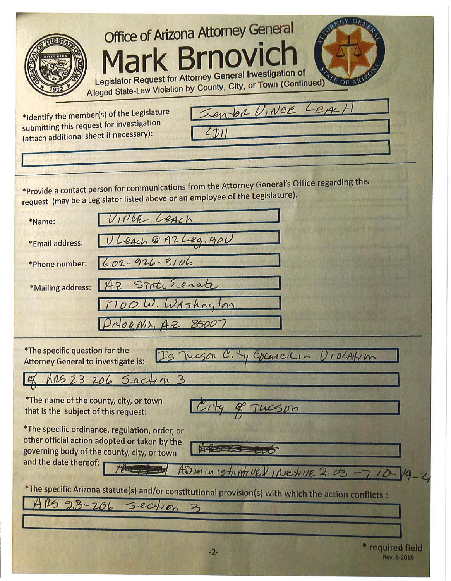| <b>Office of Arizona Attorney General</b><br><b>Mark Brnovich</b><br>Legislator Request for Attorney General Investigation of<br>$T_E$ OF<br>Alleged State-Law Violation by County, City, or Town (Continued) |
|---------------------------------------------------------------------------------------------------------------------------------------------------------------------------------------------------------------|
| Senter VINCE LEACH<br>*Identify the member(s) of the Legislature<br>submitting this request for investigation<br>(attach additional sheet if necessary):                                                      |
| *Provide a contact person for communications from the Attorney General's Office regarding this<br>request (may be a Legislator listed above or an employee of the Legislature).                               |
| VINCE LEACH<br>*Name:                                                                                                                                                                                         |
| ULEACH @ AZLeg. gov<br>*Email address:                                                                                                                                                                        |
| $602 - 926.3106$<br>*Phone number:                                                                                                                                                                            |
| 142 State Senate<br>*Mailing address:                                                                                                                                                                         |
| 700 W. WAShngton                                                                                                                                                                                              |
| PRORNIX, AZ 85007                                                                                                                                                                                             |
| *The specific question for the<br>Tueson City Cocencilia Urocation<br><b>Attorney General to investigate is:</b>                                                                                              |
| RS 23-206 Section 3                                                                                                                                                                                           |
| *The name of the county, city, or town<br>that is the subject of this request:                                                                                                                                |
| *The specific ordinance, regulation, order, or<br>other official action adopted or taken by the<br>governing body of the county, city, or town<br>and the date thereof:<br>AD MINISTRATUE / IRECTIVE 2.03     |
| *The specific Arizona statute(s) and/or constitutional provision(s) with which the action conflicts :                                                                                                         |
| $23 - 206$ section                                                                                                                                                                                            |
|                                                                                                                                                                                                               |
| * required field<br>$-2-$<br>Rev. 8-2016                                                                                                                                                                      |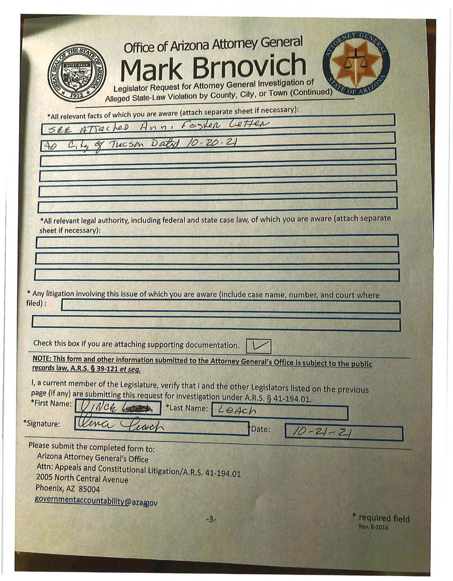| <b>Office of Arizona Attorney General</b>                                                                                                                                                       |
|-------------------------------------------------------------------------------------------------------------------------------------------------------------------------------------------------|
|                                                                                                                                                                                                 |
| <b>Mark Brnovich</b>                                                                                                                                                                            |
| <b>Legislator Request for Attorney General Investigation of</b><br><b>MAL OF AV</b><br>Alleged State-Law Violation by County, City, or Town (Continued)                                         |
| *All relevant facts of which you are aware (attach separate sheet if necessary):                                                                                                                |
| SEE ATTacked Ann, Foster Letter                                                                                                                                                                 |
| City of Tucson Dated 10-20-21                                                                                                                                                                   |
|                                                                                                                                                                                                 |
|                                                                                                                                                                                                 |
|                                                                                                                                                                                                 |
|                                                                                                                                                                                                 |
| *All relevant legal authority, including federal and state case law, of which you are aware (attach separate<br>sheet if necessary):                                                            |
|                                                                                                                                                                                                 |
|                                                                                                                                                                                                 |
|                                                                                                                                                                                                 |
| * Any litigation involving this issue of which you are aware (include case name, number, and court where                                                                                        |
| filed):                                                                                                                                                                                         |
|                                                                                                                                                                                                 |
| Check this box if you are attaching supporting documentation.                                                                                                                                   |
| NOTE: This form and other information submitted to the Attorney General's Office is subject to the public                                                                                       |
| records law, A.R.S. § 39-121 et seq.                                                                                                                                                            |
| I, a current member of the Legislature, verify that I and the other Legislators listed on the previous<br>page (if any) are submitting this request for investigation under A.R.S. § 41-194.01. |
| *First Name:<br>*Last Name: LeAch                                                                                                                                                               |
| *Signature:<br>Date:                                                                                                                                                                            |
| $-2 - 2$                                                                                                                                                                                        |
| Please submit the completed form to:<br>Arizona Attorney General's Office                                                                                                                       |
| Attn: Appeals and Constitutional Litigation/A.R.S. 41-194.01<br>2005 North Central Avenue                                                                                                       |
| Phoenix, AZ 85004                                                                                                                                                                               |
| governmentaccountability@azaggov                                                                                                                                                                |
| * required field<br>$-3-$<br><b>Rev. 8-2016</b>                                                                                                                                                 |
|                                                                                                                                                                                                 |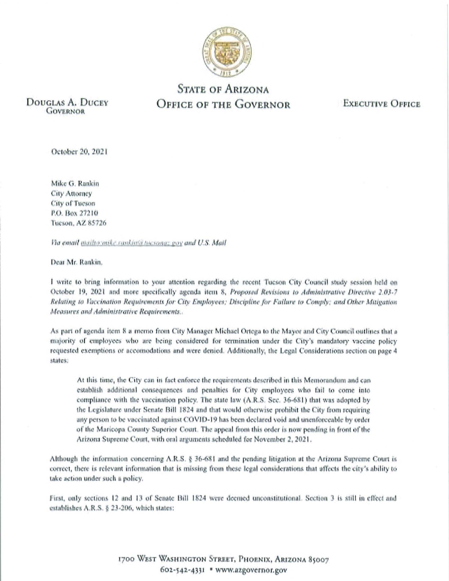

## **STATE OF ARIZONA OFFICE OF THE GOVERNOR**

DOUGLAS A. DUCEY **GOVERNOR** 

**EXECUTIVE OFFICE** 

October 20, 2021

Mike G. Rankin City Attorney **City of Tucson** P.O. Box 27210 Tueson, AZ 85726

Via email mailto mike rankinsi tucsona: gov and U.S. Mail

Dear Mr. Rankin.

I write to bring information to your attention regarding the recent Tucson City Council study session held on October 19, 2021 and more specifically agenda item 8, Proposed Revisions to Administrative Directive 2.03-7 Relating to Vaccination Requirements for City Employees; Discipline for Failure to Comply; and Other Mitigation Measures and Administrative Requirements...

As part of agenda item 8 a memo from City Manager Michael Ortega to the Mayor and City Council outlines that a majority of employees who are being considered for termination under the City's mandatory vaccine policy requested exemptions or accomodations and were denied. Additionally, the Legal Considerations section on page 4 states:

At this time, the City can in fact enforce the requirements described in this Memorandum and can establish additional consequences and penalties for City employees who fail to come into compliance with the vaccination policy. The state law (A.R.S. Sec. 36-681) that was adopted by the Legislature under Senate Bill 1824 and that would otherwise prohibit the City from requiring any person to be vaccinated against COVID-19 has been declared void and unenforceable by order of the Maricona County Superior Court. The appeal from this order is now pending in front of the Arizona Supreme Court, with oral arguments scheduled for November 2, 2021.

Although the information concerning A.R.S. § 36-681 and the pending litigation at the Arizona Supreme Court is correct, there is relevant information that is missing from these legal considerations that affects the city's ability to take action under such a policy.

First, only sections 12 and 13 of Senate Bill 1824 were deemed unconstitutional. Section 3 is still in effect and establishes A.R.S. § 23-206, which states:

> 1700 WEST WASHINGTON STREET, PHOENIX, ARIZONA 85007 602-542-4331 \* www.azgovernor.gov